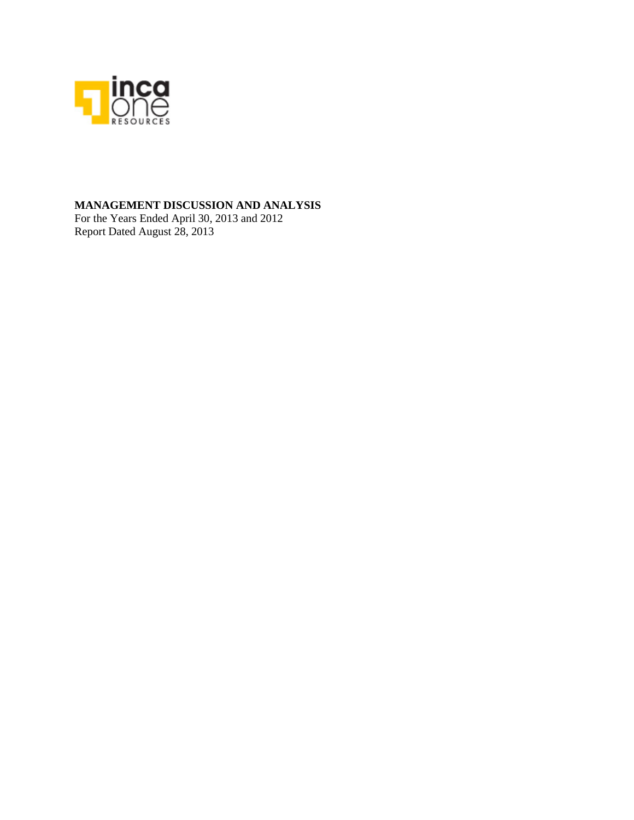

### **MANAGEMENT DISCUSSION AND ANALYSIS**

For the Years Ended April 30, 2013 and 2012 Report Dated August 28, 2013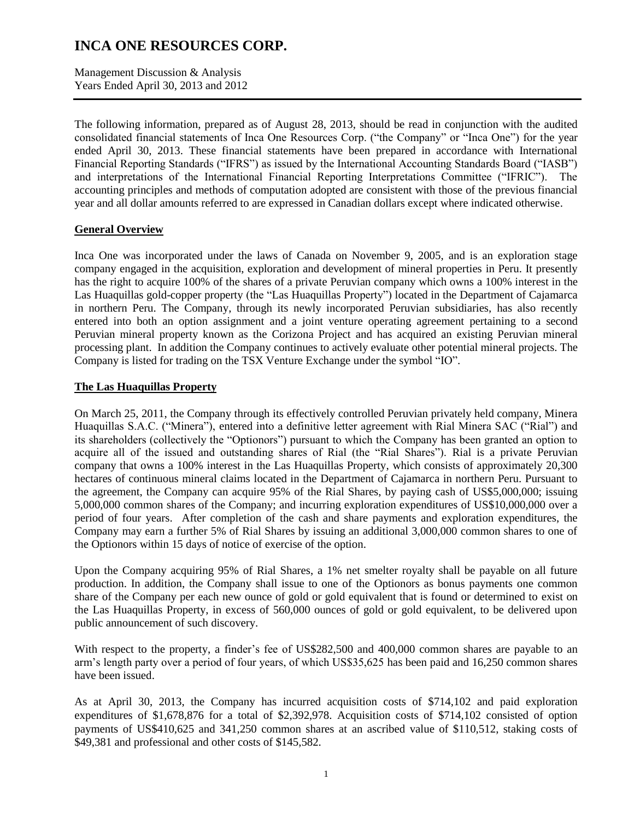Management Discussion & Analysis Years Ended April 30, 2013 and 2012

The following information, prepared as of August 28, 2013, should be read in conjunction with the audited consolidated financial statements of Inca One Resources Corp. ("the Company" or "Inca One") for the year ended April 30, 2013. These financial statements have been prepared in accordance with International Financial Reporting Standards ("IFRS") as issued by the International Accounting Standards Board ("IASB") and interpretations of the International Financial Reporting Interpretations Committee ("IFRIC"). The accounting principles and methods of computation adopted are consistent with those of the previous financial year and all dollar amounts referred to are expressed in Canadian dollars except where indicated otherwise.

### **General Overview**

Inca One was incorporated under the laws of Canada on November 9, 2005, and is an exploration stage company engaged in the acquisition, exploration and development of mineral properties in Peru. It presently has the right to acquire 100% of the shares of a private Peruvian company which owns a 100% interest in the Las Huaquillas gold-copper property (the "Las Huaquillas Property") located in the Department of Cajamarca in northern Peru. The Company, through its newly incorporated Peruvian subsidiaries, has also recently entered into both an option assignment and a joint venture operating agreement pertaining to a second Peruvian mineral property known as the Corizona Project and has acquired an existing Peruvian mineral processing plant. In addition the Company continues to actively evaluate other potential mineral projects. The Company is listed for trading on the TSX Venture Exchange under the symbol "IO".

### **The Las Huaquillas Property**

On March 25, 2011, the Company through its effectively controlled Peruvian privately held company, Minera Huaquillas S.A.C. ("Minera"), entered into a definitive letter agreement with Rial Minera SAC ("Rial") and its shareholders (collectively the "Optionors") pursuant to which the Company has been granted an option to acquire all of the issued and outstanding shares of Rial (the "Rial Shares"). Rial is a private Peruvian company that owns a 100% interest in the Las Huaquillas Property, which consists of approximately 20,300 hectares of continuous mineral claims located in the Department of Cajamarca in northern Peru. Pursuant to the agreement, the Company can acquire 95% of the Rial Shares, by paying cash of US\$5,000,000; issuing 5,000,000 common shares of the Company; and incurring exploration expenditures of US\$10,000,000 over a period of four years. After completion of the cash and share payments and exploration expenditures, the Company may earn a further 5% of Rial Shares by issuing an additional 3,000,000 common shares to one of the Optionors within 15 days of notice of exercise of the option.

Upon the Company acquiring 95% of Rial Shares, a 1% net smelter royalty shall be payable on all future production. In addition, the Company shall issue to one of the Optionors as bonus payments one common share of the Company per each new ounce of gold or gold equivalent that is found or determined to exist on the Las Huaquillas Property, in excess of 560,000 ounces of gold or gold equivalent, to be delivered upon public announcement of such discovery.

With respect to the property, a finder's fee of US\$282,500 and 400,000 common shares are payable to an arm's length party over a period of four years, of which US\$35,625 has been paid and 16,250 common shares have been issued.

As at April 30, 2013, the Company has incurred acquisition costs of \$714,102 and paid exploration expenditures of \$1,678,876 for a total of \$2,392,978. Acquisition costs of \$714,102 consisted of option payments of US\$410,625 and 341,250 common shares at an ascribed value of \$110,512, staking costs of \$49,381 and professional and other costs of \$145,582.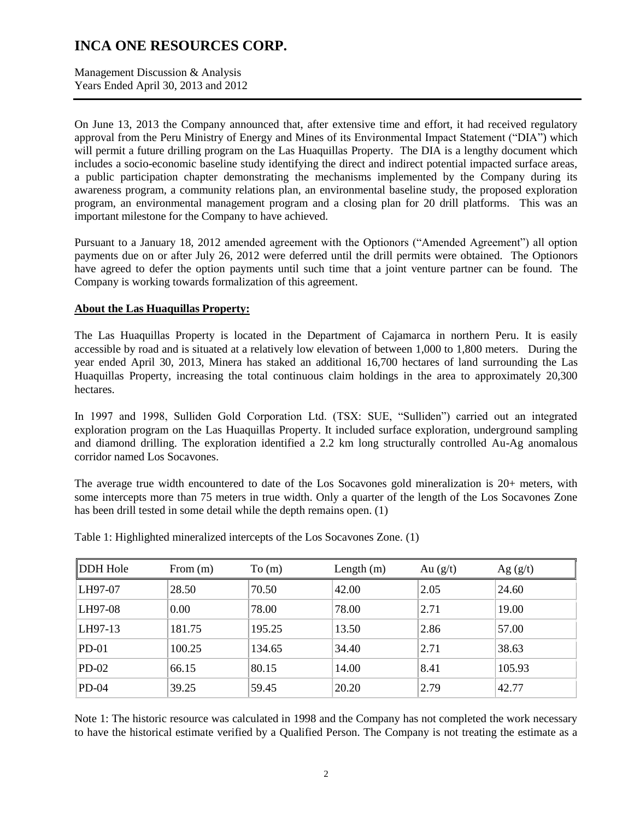Management Discussion & Analysis Years Ended April 30, 2013 and 2012

On June 13, 2013 the Company announced that, after extensive time and effort, it had received regulatory approval from the Peru Ministry of Energy and Mines of its Environmental Impact Statement ("DIA") which will permit a future drilling program on the Las Huaquillas Property. The DIA is a lengthy document which includes a socio-economic baseline study identifying the direct and indirect potential impacted surface areas, a public participation chapter demonstrating the mechanisms implemented by the Company during its awareness program, a community relations plan, an environmental baseline study, the proposed exploration program, an environmental management program and a closing plan for 20 drill platforms. This was an important milestone for the Company to have achieved.

Pursuant to a January 18, 2012 amended agreement with the Optionors ("Amended Agreement") all option payments due on or after July 26, 2012 were deferred until the drill permits were obtained. The Optionors have agreed to defer the option payments until such time that a joint venture partner can be found. The Company is working towards formalization of this agreement.

### **About the Las Huaquillas Property:**

The Las Huaquillas Property is located in the Department of Cajamarca in northern Peru. It is easily accessible by road and is situated at a relatively low elevation of between 1,000 to 1,800 meters. During the year ended April 30, 2013, Minera has staked an additional 16,700 hectares of land surrounding the Las Huaquillas Property, increasing the total continuous claim holdings in the area to approximately 20,300 hectares.

In 1997 and 1998, Sulliden Gold Corporation Ltd. (TSX: SUE, "Sulliden") carried out an integrated exploration program on the Las Huaquillas Property. It included surface exploration, underground sampling and diamond drilling. The exploration identified a 2.2 km long structurally controlled Au-Ag anomalous corridor named Los Socavones.

The average true width encountered to date of the Los Socavones gold mineralization is 20+ meters, with some intercepts more than 75 meters in true width. Only a quarter of the length of the Los Socavones Zone has been drill tested in some detail while the depth remains open. (1)

| <b>DDH</b> Hole | From $(m)$ | To(m)  | Length $(m)$ | Au $(g/t)$ | Ag $(g/t)$ |
|-----------------|------------|--------|--------------|------------|------------|
| LH97-07         | 28.50      | 70.50  | 42.00        | 2.05       | 24.60      |
| LH97-08         | 0.00       | 78.00  | 78.00        | 2.71       | 19.00      |
| LH97-13         | 181.75     | 195.25 | 13.50        | 2.86       | 57.00      |
| $PD-01$         | 100.25     | 134.65 | 34.40        | 2.71       | 38.63      |
| $PD-02$         | 66.15      | 80.15  | 14.00        | 8.41       | 105.93     |
| $PD-04$         | 39.25      | 59.45  | 20.20        | 2.79       | 42.77      |

Table 1: Highlighted mineralized intercepts of the Los Socavones Zone. (1)

Note 1: The historic resource was calculated in 1998 and the Company has not completed the work necessary to have the historical estimate verified by a Qualified Person. The Company is not treating the estimate as a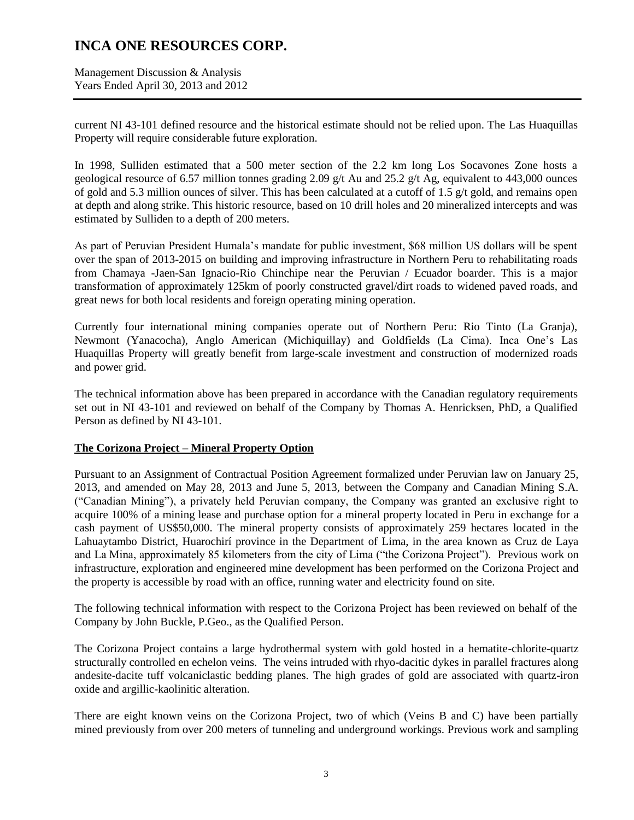Management Discussion & Analysis Years Ended April 30, 2013 and 2012

current NI 43-101 defined resource and the historical estimate should not be relied upon. The Las Huaquillas Property will require considerable future exploration.

In 1998, Sulliden estimated that a 500 meter section of the 2.2 km long Los Socavones Zone hosts a geological resource of 6.57 million tonnes grading 2.09 g/t Au and 25.2 g/t Ag, equivalent to 443,000 ounces of gold and 5.3 million ounces of silver. This has been calculated at a cutoff of 1.5  $g/t$  gold, and remains open at depth and along strike. This historic resource, based on 10 drill holes and 20 mineralized intercepts and was estimated by Sulliden to a depth of 200 meters.

As part of Peruvian President Humala's mandate for public investment, \$68 million US dollars will be spent over the span of 2013-2015 on building and improving infrastructure in Northern Peru to rehabilitating roads from Chamaya -Jaen-San Ignacio-Rio Chinchipe near the Peruvian / Ecuador boarder. This is a major transformation of approximately 125km of poorly constructed gravel/dirt roads to widened paved roads, and great news for both local residents and foreign operating mining operation.

Currently four international mining companies operate out of Northern Peru: Rio Tinto (La Granja), Newmont (Yanacocha), Anglo American (Michiquillay) and Goldfields (La Cima). Inca One's Las Huaquillas Property will greatly benefit from large-scale investment and construction of modernized roads and power grid.

The technical information above has been prepared in accordance with the Canadian regulatory requirements set out in NI 43-101 and reviewed on behalf of the Company by Thomas A. Henricksen, PhD, a Qualified Person as defined by NI 43-101.

### **The Corizona Project – Mineral Property Option**

Pursuant to an Assignment of Contractual Position Agreement formalized under Peruvian law on January 25, 2013, and amended on May 28, 2013 and June 5, 2013, between the Company and Canadian Mining S.A. ("Canadian Mining"), a privately held Peruvian company, the Company was granted an exclusive right to acquire 100% of a mining lease and purchase option for a mineral property located in Peru in exchange for a cash payment of US\$50,000. The mineral property consists of approximately 259 hectares located in the Lahuaytambo District, Huarochirí province in the Department of Lima, in the area known as Cruz de Laya and La Mina, approximately 85 kilometers from the city of Lima ("the Corizona Project"). Previous work on infrastructure, exploration and engineered mine development has been performed on the Corizona Project and the property is accessible by road with an office, running water and electricity found on site.

The following technical information with respect to the Corizona Project has been reviewed on behalf of the Company by John Buckle, P.Geo., as the Qualified Person.

The Corizona Project contains a large hydrothermal system with gold hosted in a hematite-chlorite-quartz structurally controlled en echelon veins. The veins intruded with rhyo-dacitic dykes in parallel fractures along andesite-dacite tuff volcaniclastic bedding planes. The high grades of gold are associated with quartz-iron oxide and argillic-kaolinitic alteration.

There are eight known veins on the Corizona Project, two of which (Veins B and C) have been partially mined previously from over 200 meters of tunneling and underground workings. Previous work and sampling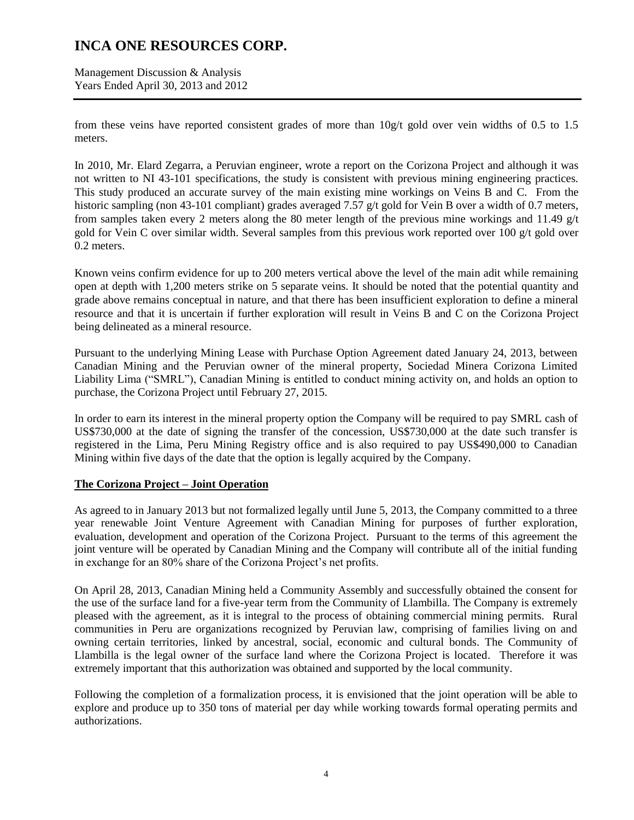Management Discussion & Analysis Years Ended April 30, 2013 and 2012

from these veins have reported consistent grades of more than 10g/t gold over vein widths of 0.5 to 1.5 meters.

In 2010, Mr. Elard Zegarra, a Peruvian engineer, wrote a report on the Corizona Project and although it was not written to NI 43-101 specifications, the study is consistent with previous mining engineering practices. This study produced an accurate survey of the main existing mine workings on Veins B and C. From the historic sampling (non 43-101 compliant) grades averaged 7.57 g/t gold for Vein B over a width of 0.7 meters, from samples taken every 2 meters along the 80 meter length of the previous mine workings and 11.49  $g/t$ gold for Vein C over similar width. Several samples from this previous work reported over 100  $g/t$  gold over 0.2 meters.

Known veins confirm evidence for up to 200 meters vertical above the level of the main adit while remaining open at depth with 1,200 meters strike on 5 separate veins. It should be noted that the potential quantity and grade above remains conceptual in nature, and that there has been insufficient exploration to define a mineral resource and that it is uncertain if further exploration will result in Veins B and C on the Corizona Project being delineated as a mineral resource.

Pursuant to the underlying Mining Lease with Purchase Option Agreement dated January 24, 2013, between Canadian Mining and the Peruvian owner of the mineral property, Sociedad Minera Corizona Limited Liability Lima ("SMRL"), Canadian Mining is entitled to conduct mining activity on, and holds an option to purchase, the Corizona Project until February 27, 2015.

In order to earn its interest in the mineral property option the Company will be required to pay SMRL cash of US\$730,000 at the date of signing the transfer of the concession, US\$730,000 at the date such transfer is registered in the Lima, Peru Mining Registry office and is also required to pay US\$490,000 to Canadian Mining within five days of the date that the option is legally acquired by the Company.

### **The Corizona Project – Joint Operation**

As agreed to in January 2013 but not formalized legally until June 5, 2013, the Company committed to a three year renewable Joint Venture Agreement with Canadian Mining for purposes of further exploration, evaluation, development and operation of the Corizona Project. Pursuant to the terms of this agreement the joint venture will be operated by Canadian Mining and the Company will contribute all of the initial funding in exchange for an 80% share of the Corizona Project's net profits.

On April 28, 2013, Canadian Mining held a Community Assembly and successfully obtained the consent for the use of the surface land for a five-year term from the Community of Llambilla. The Company is extremely pleased with the agreement, as it is integral to the process of obtaining commercial mining permits. Rural communities in Peru are organizations recognized by Peruvian law, comprising of families living on and owning certain territories, linked by ancestral, social, economic and cultural bonds. The Community of Llambilla is the legal owner of the surface land where the Corizona Project is located. Therefore it was extremely important that this authorization was obtained and supported by the local community.

Following the completion of a formalization process, it is envisioned that the joint operation will be able to explore and produce up to 350 tons of material per day while working towards formal operating permits and authorizations.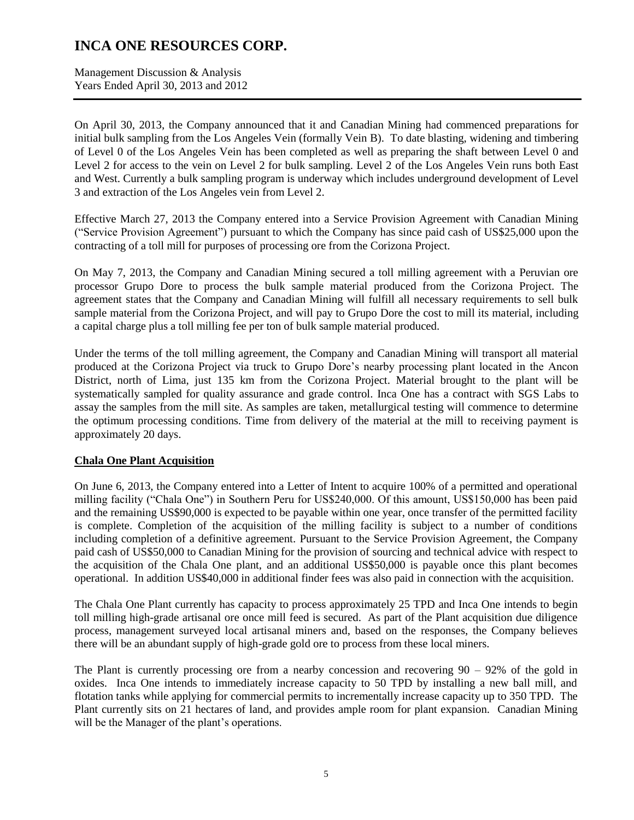Management Discussion & Analysis Years Ended April 30, 2013 and 2012

On April 30, 2013, the Company announced that it and Canadian Mining had commenced preparations for initial bulk sampling from the Los Angeles Vein (formally Vein B). To date blasting, widening and timbering of Level 0 of the Los Angeles Vein has been completed as well as preparing the shaft between Level 0 and Level 2 for access to the vein on Level 2 for bulk sampling. Level 2 of the Los Angeles Vein runs both East and West. Currently a bulk sampling program is underway which includes underground development of Level 3 and extraction of the Los Angeles vein from Level 2.

Effective March 27, 2013 the Company entered into a Service Provision Agreement with Canadian Mining ("Service Provision Agreement") pursuant to which the Company has since paid cash of US\$25,000 upon the contracting of a toll mill for purposes of processing ore from the Corizona Project.

On May 7, 2013, the Company and Canadian Mining secured a toll milling agreement with a Peruvian ore processor Grupo Dore to process the bulk sample material produced from the Corizona Project. The agreement states that the Company and Canadian Mining will fulfill all necessary requirements to sell bulk sample material from the Corizona Project, and will pay to Grupo Dore the cost to mill its material, including a capital charge plus a toll milling fee per ton of bulk sample material produced.

Under the terms of the toll milling agreement, the Company and Canadian Mining will transport all material produced at the Corizona Project via truck to Grupo Dore's nearby processing plant located in the Ancon District, north of Lima, just 135 km from the Corizona Project. Material brought to the plant will be systematically sampled for quality assurance and grade control. Inca One has a contract with SGS Labs to assay the samples from the mill site. As samples are taken, metallurgical testing will commence to determine the optimum processing conditions. Time from delivery of the material at the mill to receiving payment is approximately 20 days.

### **Chala One Plant Acquisition**

On June 6, 2013, the Company entered into a Letter of Intent to acquire 100% of a permitted and operational milling facility ("Chala One") in Southern Peru for US\$240,000. Of this amount, US\$150,000 has been paid and the remaining US\$90,000 is expected to be payable within one year, once transfer of the permitted facility is complete. Completion of the acquisition of the milling facility is subject to a number of conditions including completion of a definitive agreement. Pursuant to the Service Provision Agreement, the Company paid cash of US\$50,000 to Canadian Mining for the provision of sourcing and technical advice with respect to the acquisition of the Chala One plant, and an additional US\$50,000 is payable once this plant becomes operational. In addition US\$40,000 in additional finder fees was also paid in connection with the acquisition.

The Chala One Plant currently has capacity to process approximately 25 TPD and Inca One intends to begin toll milling high-grade artisanal ore once mill feed is secured. As part of the Plant acquisition due diligence process, management surveyed local artisanal miners and, based on the responses, the Company believes there will be an abundant supply of high-grade gold ore to process from these local miners.

The Plant is currently processing ore from a nearby concession and recovering  $90 - 92\%$  of the gold in oxides. Inca One intends to immediately increase capacity to 50 TPD by installing a new ball mill, and flotation tanks while applying for commercial permits to incrementally increase capacity up to 350 TPD. The Plant currently sits on 21 hectares of land, and provides ample room for plant expansion. Canadian Mining will be the Manager of the plant's operations.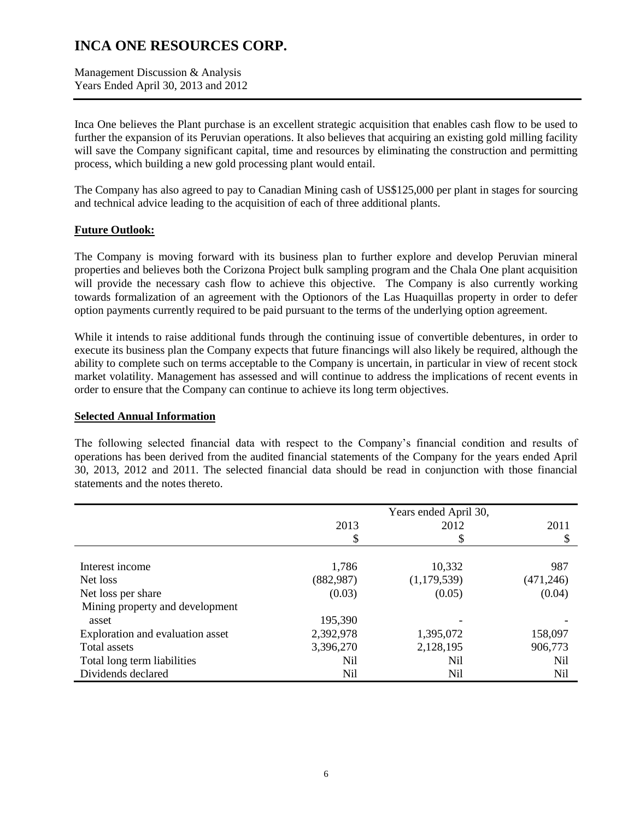Management Discussion & Analysis Years Ended April 30, 2013 and 2012

Inca One believes the Plant purchase is an excellent strategic acquisition that enables cash flow to be used to further the expansion of its Peruvian operations. It also believes that acquiring an existing gold milling facility will save the Company significant capital, time and resources by eliminating the construction and permitting process, which building a new gold processing plant would entail.

The Company has also agreed to pay to Canadian Mining cash of US\$125,000 per plant in stages for sourcing and technical advice leading to the acquisition of each of three additional plants.

### **Future Outlook:**

The Company is moving forward with its business plan to further explore and develop Peruvian mineral properties and believes both the Corizona Project bulk sampling program and the Chala One plant acquisition will provide the necessary cash flow to achieve this objective. The Company is also currently working towards formalization of an agreement with the Optionors of the Las Huaquillas property in order to defer option payments currently required to be paid pursuant to the terms of the underlying option agreement.

While it intends to raise additional funds through the continuing issue of convertible debentures, in order to execute its business plan the Company expects that future financings will also likely be required, although the ability to complete such on terms acceptable to the Company is uncertain, in particular in view of recent stock market volatility. Management has assessed and will continue to address the implications of recent events in order to ensure that the Company can continue to achieve its long term objectives.

### **Selected Annual Information**

The following selected financial data with respect to the Company's financial condition and results of operations has been derived from the audited financial statements of the Company for the years ended April 30, 2013, 2012 and 2011. The selected financial data should be read in conjunction with those financial statements and the notes thereto.

|                                  |                 | Years ended April 30, |            |
|----------------------------------|-----------------|-----------------------|------------|
|                                  | 2013            | 2012                  | 2011       |
|                                  | \$              | \$                    |            |
|                                  |                 |                       |            |
| Interest income                  | 1,786           | 10,332                | 987        |
| Net loss                         | (882, 987)      | (1,179,539)           | (471, 246) |
| Net loss per share               | (0.03)          | (0.05)                | (0.04)     |
| Mining property and development  |                 |                       |            |
| asset                            | 195,390         |                       |            |
| Exploration and evaluation asset | 2,392,978       | 1,395,072             | 158,097    |
| Total assets                     | 3,396,270       | 2,128,195             | 906,773    |
| Total long term liabilities      | N <sub>il</sub> | Nil                   | Nil        |
| Dividends declared               | <b>Nil</b>      | Nil                   | Nil        |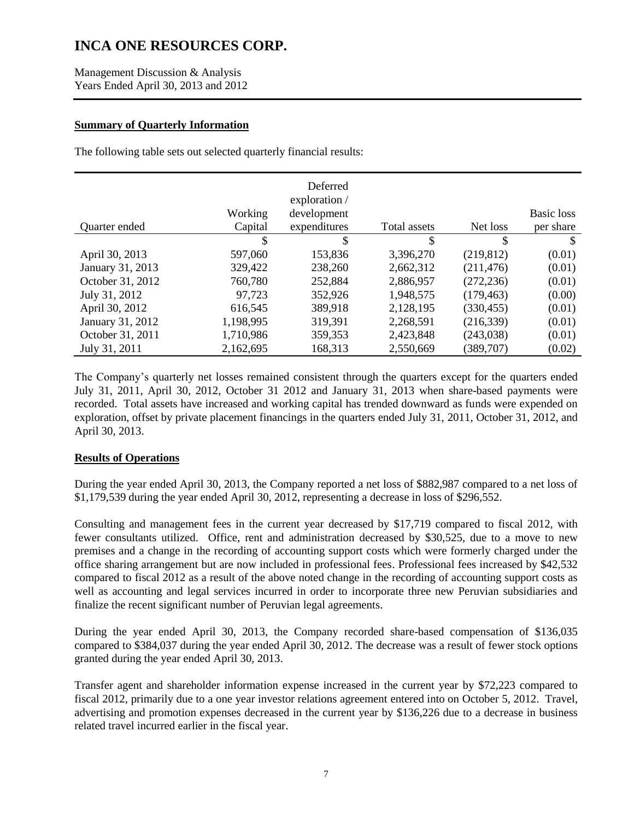Management Discussion & Analysis Years Ended April 30, 2013 and 2012

### **Summary of Quarterly Information**

The following table sets out selected quarterly financial results:

|                  |           | Deferred<br>exploration / |              |            |                   |
|------------------|-----------|---------------------------|--------------|------------|-------------------|
|                  | Working   | development               |              |            | <b>Basic</b> loss |
| Quarter ended    | Capital   | expenditures              | Total assets | Net loss   | per share         |
|                  | \$        | \$                        | \$           | \$         | \$                |
| April 30, 2013   | 597,060   | 153,836                   | 3,396,270    | (219, 812) | (0.01)            |
| January 31, 2013 | 329,422   | 238,260                   | 2,662,312    | (211, 476) | (0.01)            |
| October 31, 2012 | 760,780   | 252,884                   | 2,886,957    | (272, 236) | (0.01)            |
| July 31, 2012    | 97,723    | 352,926                   | 1,948,575    | (179, 463) | (0.00)            |
| April 30, 2012   | 616,545   | 389,918                   | 2,128,195    | (330, 455) | (0.01)            |
| January 31, 2012 | 1,198,995 | 319,391                   | 2,268,591    | (216, 339) | (0.01)            |
| October 31, 2011 | 1,710,986 | 359,353                   | 2,423,848    | (243,038)  | (0.01)            |
| July 31, 2011    | 2,162,695 | 168,313                   | 2,550,669    | (389,707)  | (0.02)            |

The Company's quarterly net losses remained consistent through the quarters except for the quarters ended July 31, 2011, April 30, 2012, October 31 2012 and January 31, 2013 when share-based payments were recorded. Total assets have increased and working capital has trended downward as funds were expended on exploration, offset by private placement financings in the quarters ended July 31, 2011, October 31, 2012, and April 30, 2013.

### **Results of Operations**

During the year ended April 30, 2013, the Company reported a net loss of \$882,987 compared to a net loss of \$1,179,539 during the year ended April 30, 2012, representing a decrease in loss of \$296,552.

Consulting and management fees in the current year decreased by \$17,719 compared to fiscal 2012, with fewer consultants utilized. Office, rent and administration decreased by \$30,525, due to a move to new premises and a change in the recording of accounting support costs which were formerly charged under the office sharing arrangement but are now included in professional fees. Professional fees increased by \$42,532 compared to fiscal 2012 as a result of the above noted change in the recording of accounting support costs as well as accounting and legal services incurred in order to incorporate three new Peruvian subsidiaries and finalize the recent significant number of Peruvian legal agreements.

During the year ended April 30, 2013, the Company recorded share-based compensation of \$136,035 compared to \$384,037 during the year ended April 30, 2012. The decrease was a result of fewer stock options granted during the year ended April 30, 2013.

Transfer agent and shareholder information expense increased in the current year by \$72,223 compared to fiscal 2012, primarily due to a one year investor relations agreement entered into on October 5, 2012. Travel, advertising and promotion expenses decreased in the current year by \$136,226 due to a decrease in business related travel incurred earlier in the fiscal year.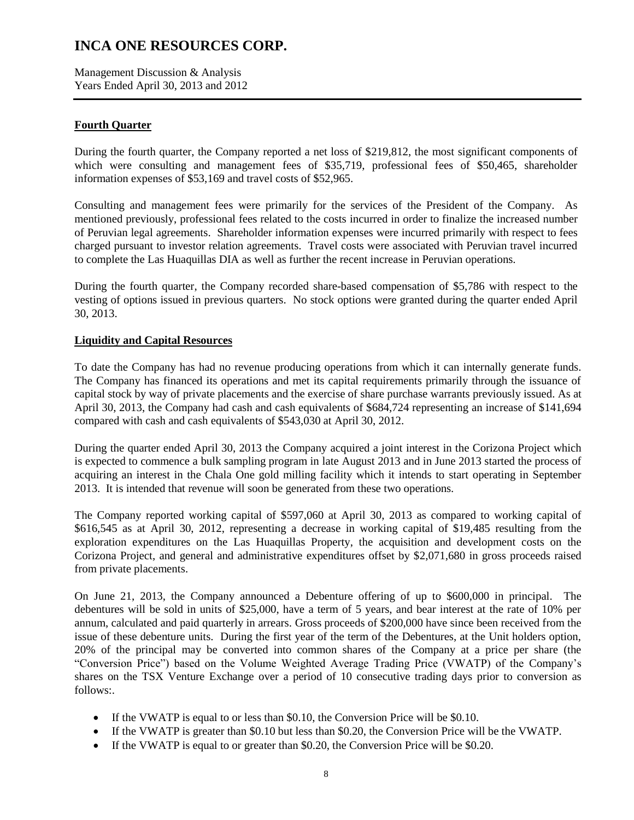Management Discussion & Analysis Years Ended April 30, 2013 and 2012

### **Fourth Quarter**

During the fourth quarter, the Company reported a net loss of \$219,812, the most significant components of which were consulting and management fees of \$35,719, professional fees of \$50,465, shareholder information expenses of \$53,169 and travel costs of \$52,965.

Consulting and management fees were primarily for the services of the President of the Company. As mentioned previously, professional fees related to the costs incurred in order to finalize the increased number of Peruvian legal agreements. Shareholder information expenses were incurred primarily with respect to fees charged pursuant to investor relation agreements. Travel costs were associated with Peruvian travel incurred to complete the Las Huaquillas DIA as well as further the recent increase in Peruvian operations.

During the fourth quarter, the Company recorded share-based compensation of \$5,786 with respect to the vesting of options issued in previous quarters. No stock options were granted during the quarter ended April 30, 2013.

### **Liquidity and Capital Resources**

To date the Company has had no revenue producing operations from which it can internally generate funds. The Company has financed its operations and met its capital requirements primarily through the issuance of capital stock by way of private placements and the exercise of share purchase warrants previously issued. As at April 30, 2013, the Company had cash and cash equivalents of \$684,724 representing an increase of \$141,694 compared with cash and cash equivalents of \$543,030 at April 30, 2012.

During the quarter ended April 30, 2013 the Company acquired a joint interest in the Corizona Project which is expected to commence a bulk sampling program in late August 2013 and in June 2013 started the process of acquiring an interest in the Chala One gold milling facility which it intends to start operating in September 2013. It is intended that revenue will soon be generated from these two operations.

The Company reported working capital of \$597,060 at April 30, 2013 as compared to working capital of \$616,545 as at April 30, 2012, representing a decrease in working capital of \$19,485 resulting from the exploration expenditures on the Las Huaquillas Property, the acquisition and development costs on the Corizona Project, and general and administrative expenditures offset by \$2,071,680 in gross proceeds raised from private placements.

On June 21, 2013, the Company announced a Debenture offering of up to \$600,000 in principal. The debentures will be sold in units of \$25,000, have a term of 5 years, and bear interest at the rate of 10% per annum, calculated and paid quarterly in arrears. Gross proceeds of \$200,000 have since been received from the issue of these debenture units. During the first year of the term of the Debentures, at the Unit holders option, 20% of the principal may be converted into common shares of the Company at a price per share (the "Conversion Price") based on the Volume Weighted Average Trading Price (VWATP) of the Company's shares on the TSX Venture Exchange over a period of 10 consecutive trading days prior to conversion as follows:.

- If the VWATP is equal to or less than \$0.10, the Conversion Price will be \$0.10.
- If the VWATP is greater than \$0.10 but less than \$0.20, the Conversion Price will be the VWATP.
- If the VWATP is equal to or greater than \$0.20, the Conversion Price will be \$0.20.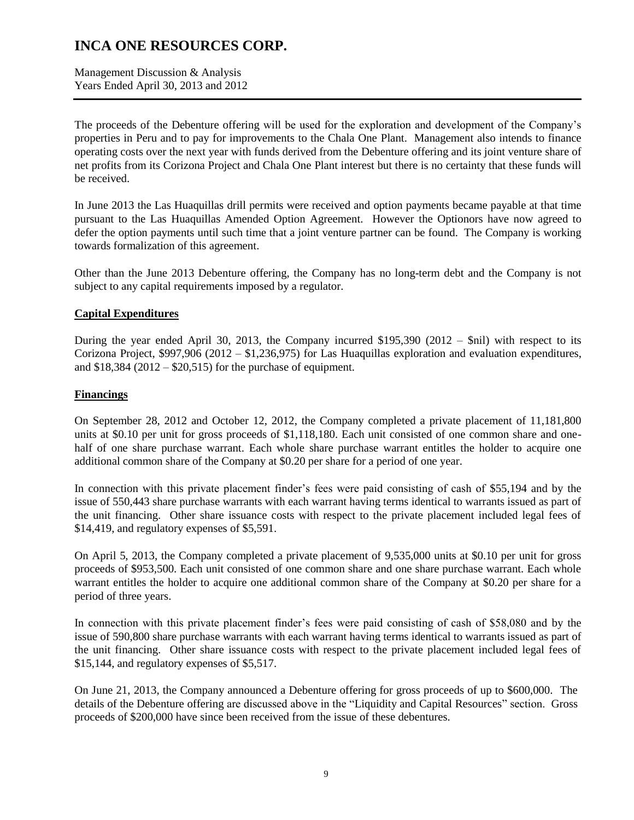Management Discussion & Analysis Years Ended April 30, 2013 and 2012

The proceeds of the Debenture offering will be used for the exploration and development of the Company's properties in Peru and to pay for improvements to the Chala One Plant. Management also intends to finance operating costs over the next year with funds derived from the Debenture offering and its joint venture share of net profits from its Corizona Project and Chala One Plant interest but there is no certainty that these funds will be received.

In June 2013 the Las Huaquillas drill permits were received and option payments became payable at that time pursuant to the Las Huaquillas Amended Option Agreement. However the Optionors have now agreed to defer the option payments until such time that a joint venture partner can be found. The Company is working towards formalization of this agreement.

Other than the June 2013 Debenture offering, the Company has no long-term debt and the Company is not subject to any capital requirements imposed by a regulator.

### **Capital Expenditures**

During the year ended April 30, 2013, the Company incurred  $$195,390 (2012 -  $\$ inl) with respect to its$ Corizona Project, \$997,906 (2012 – \$1,236,975) for Las Huaquillas exploration and evaluation expenditures, and \$18,384 (2012 – \$20,515) for the purchase of equipment.

### **Financings**

On September 28, 2012 and October 12, 2012, the Company completed a private placement of 11,181,800 units at \$0.10 per unit for gross proceeds of \$1,118,180. Each unit consisted of one common share and onehalf of one share purchase warrant. Each whole share purchase warrant entitles the holder to acquire one additional common share of the Company at \$0.20 per share for a period of one year.

In connection with this private placement finder's fees were paid consisting of cash of \$55,194 and by the issue of 550,443 share purchase warrants with each warrant having terms identical to warrants issued as part of the unit financing. Other share issuance costs with respect to the private placement included legal fees of \$14,419, and regulatory expenses of \$5,591.

On April 5, 2013, the Company completed a private placement of 9,535,000 units at \$0.10 per unit for gross proceeds of \$953,500. Each unit consisted of one common share and one share purchase warrant. Each whole warrant entitles the holder to acquire one additional common share of the Company at \$0.20 per share for a period of three years.

In connection with this private placement finder's fees were paid consisting of cash of \$58,080 and by the issue of 590,800 share purchase warrants with each warrant having terms identical to warrants issued as part of the unit financing. Other share issuance costs with respect to the private placement included legal fees of \$15,144, and regulatory expenses of \$5,517.

On June 21, 2013, the Company announced a Debenture offering for gross proceeds of up to \$600,000. The details of the Debenture offering are discussed above in the "Liquidity and Capital Resources" section. Gross proceeds of \$200,000 have since been received from the issue of these debentures.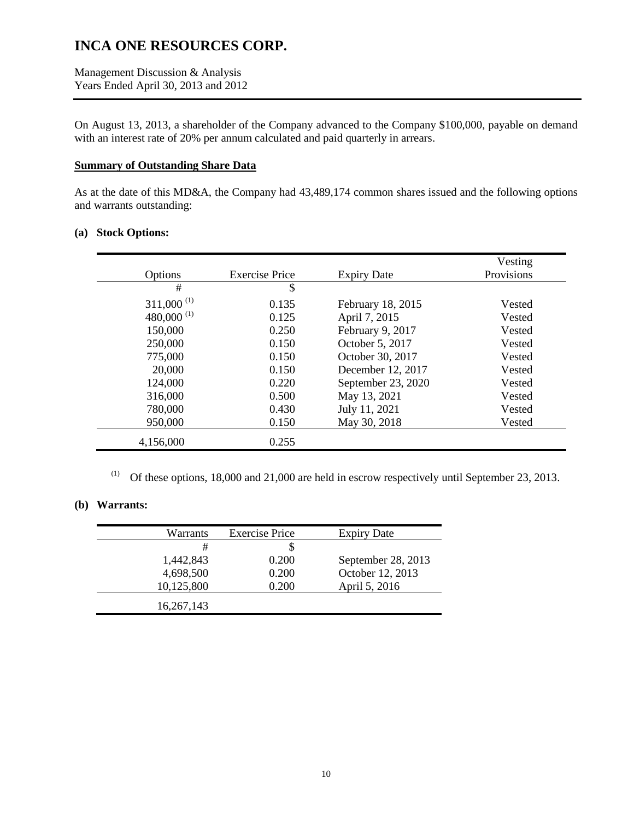Management Discussion & Analysis Years Ended April 30, 2013 and 2012

On August 13, 2013, a shareholder of the Company advanced to the Company \$100,000, payable on demand with an interest rate of 20% per annum calculated and paid quarterly in arrears.

### **Summary of Outstanding Share Data**

As at the date of this MD&A, the Company had 43,489,174 common shares issued and the following options and warrants outstanding:

|                          |                       |                    | Vesting    |
|--------------------------|-----------------------|--------------------|------------|
| Options                  | <b>Exercise Price</b> | <b>Expiry Date</b> | Provisions |
| #                        | \$                    |                    |            |
| $311,000$ <sup>(1)</sup> | 0.135                 | February 18, 2015  | Vested     |
| 480,000 $^{(1)}$         | 0.125                 | April 7, 2015      | Vested     |
| 150,000                  | 0.250                 | February 9, 2017   | Vested     |
| 250,000                  | 0.150                 | October 5, 2017    | Vested     |
| 775,000                  | 0.150                 | October 30, 2017   | Vested     |
| 20,000                   | 0.150                 | December 12, 2017  | Vested     |
| 124,000                  | 0.220                 | September 23, 2020 | Vested     |
| 316,000                  | 0.500                 | May 13, 2021       | Vested     |
| 780,000                  | 0.430                 | July 11, 2021      | Vested     |
| 950,000                  | 0.150                 | May 30, 2018       | Vested     |
| 4,156,000                | 0.255                 |                    |            |

### **(a) Stock Options:**

(1) Of these options, 18,000 and 21,000 are held in escrow respectively until September 23, 2013.

#### **(b) Warrants:**

| Warrants   | <b>Exercise Price</b> | <b>Expiry Date</b> |
|------------|-----------------------|--------------------|
| #          |                       |                    |
| 1,442,843  | 0.200                 | September 28, 2013 |
| 4,698,500  | 0.200                 | October 12, 2013   |
| 10,125,800 | 0.200                 | April 5, 2016      |
| 16,267,143 |                       |                    |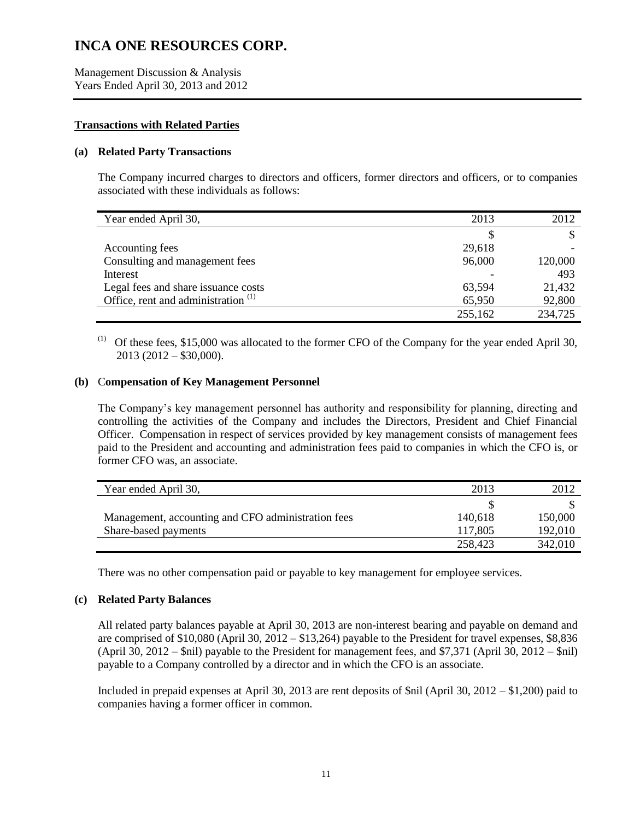Management Discussion & Analysis Years Ended April 30, 2013 and 2012

### **Transactions with Related Parties**

#### **(a) Related Party Transactions**

The Company incurred charges to directors and officers, former directors and officers, or to companies associated with these individuals as follows:

| Year ended April 30,                           | 2013    | 2012    |
|------------------------------------------------|---------|---------|
|                                                |         |         |
| Accounting fees                                | 29,618  |         |
| Consulting and management fees                 | 96,000  | 120,000 |
| Interest                                       |         | 493     |
| Legal fees and share issuance costs            | 63,594  | 21,432  |
| Office, rent and administration <sup>(1)</sup> | 65,950  | 92,800  |
|                                                | 255,162 | 234,725 |

### (1) Of these fees, \$15,000 was allocated to the former CFO of the Company for the year ended April 30, 2013 (2012 – \$30,000).

#### **(b)** C**ompensation of Key Management Personnel**

The Company's key management personnel has authority and responsibility for planning, directing and controlling the activities of the Company and includes the Directors, President and Chief Financial Officer. Compensation in respect of services provided by key management consists of management fees paid to the President and accounting and administration fees paid to companies in which the CFO is, or former CFO was, an associate.

| Year ended April 30,                               | 2013    | 2012    |
|----------------------------------------------------|---------|---------|
|                                                    |         |         |
| Management, accounting and CFO administration fees | 140,618 | 150,000 |
| Share-based payments                               | 117,805 | 192,010 |
|                                                    | 258,423 | 342,010 |

There was no other compensation paid or payable to key management for employee services.

#### **(c) Related Party Balances**

All related party balances payable at April 30, 2013 are non-interest bearing and payable on demand and are comprised of \$10,080 (April 30, 2012 – \$13,264) payable to the President for travel expenses, \$8,836 (April 30, 2012 – \$nil) payable to the President for management fees, and \$7,371 (April 30, 2012 – \$nil) payable to a Company controlled by a director and in which the CFO is an associate.

Included in prepaid expenses at April 30, 2013 are rent deposits of \$nil (April 30, 2012 – \$1,200) paid to companies having a former officer in common.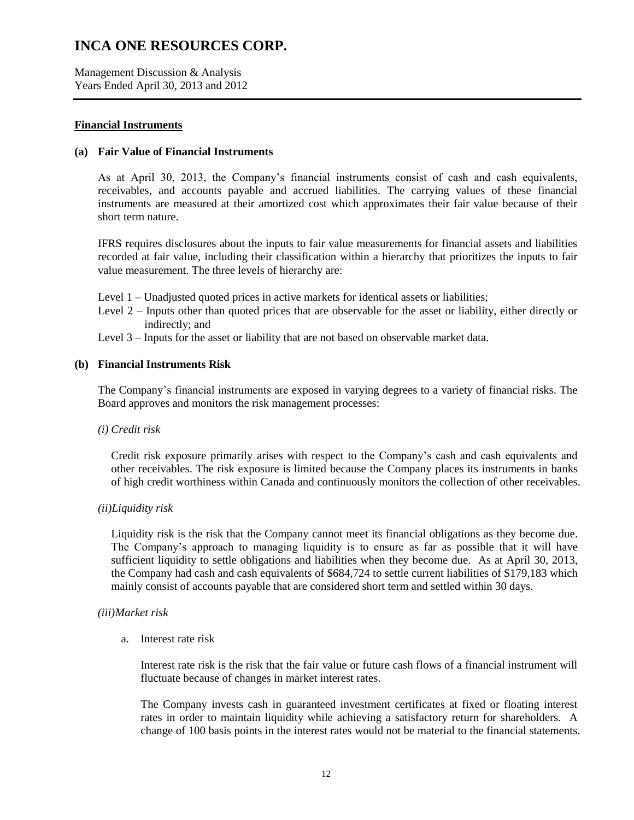Management Discussion & Analysis Years Ended April 30, 2013 and 2012

### **Financial Instruments**

### **(a) Fair Value of Financial Instruments**

As at April 30, 2013, the Company's financial instruments consist of cash and cash equivalents, receivables, and accounts payable and accrued liabilities. The carrying values of these financial instruments are measured at their amortized cost which approximates their fair value because of their short term nature.

IFRS requires disclosures about the inputs to fair value measurements for financial assets and liabilities recorded at fair value, including their classification within a hierarchy that prioritizes the inputs to fair value measurement. The three levels of hierarchy are:

- Level 1 Unadjusted quoted prices in active markets for identical assets or liabilities;
- Level 2 Inputs other than quoted prices that are observable for the asset or liability, either directly or indirectly; and
- Level 3 Inputs for the asset or liability that are not based on observable market data.

#### **(b) Financial Instruments Risk**

The Company's financial instruments are exposed in varying degrees to a variety of financial risks. The Board approves and monitors the risk management processes:

#### *(i) Credit risk*

Credit risk exposure primarily arises with respect to the Company's cash and cash equivalents and other receivables. The risk exposure is limited because the Company places its instruments in banks of high credit worthiness within Canada and continuously monitors the collection of other receivables.

### *(ii)Liquidity risk*

Liquidity risk is the risk that the Company cannot meet its financial obligations as they become due. The Company's approach to managing liquidity is to ensure as far as possible that it will have sufficient liquidity to settle obligations and liabilities when they become due. As at April 30, 2013, the Company had cash and cash equivalents of \$684,724 to settle current liabilities of \$179,183 which mainly consist of accounts payable that are considered short term and settled within 30 days.

### *(iii)Market risk*

a. Interest rate risk

Interest rate risk is the risk that the fair value or future cash flows of a financial instrument will fluctuate because of changes in market interest rates.

The Company invests cash in guaranteed investment certificates at fixed or floating interest rates in order to maintain liquidity while achieving a satisfactory return for shareholders. A change of 100 basis points in the interest rates would not be material to the financial statements.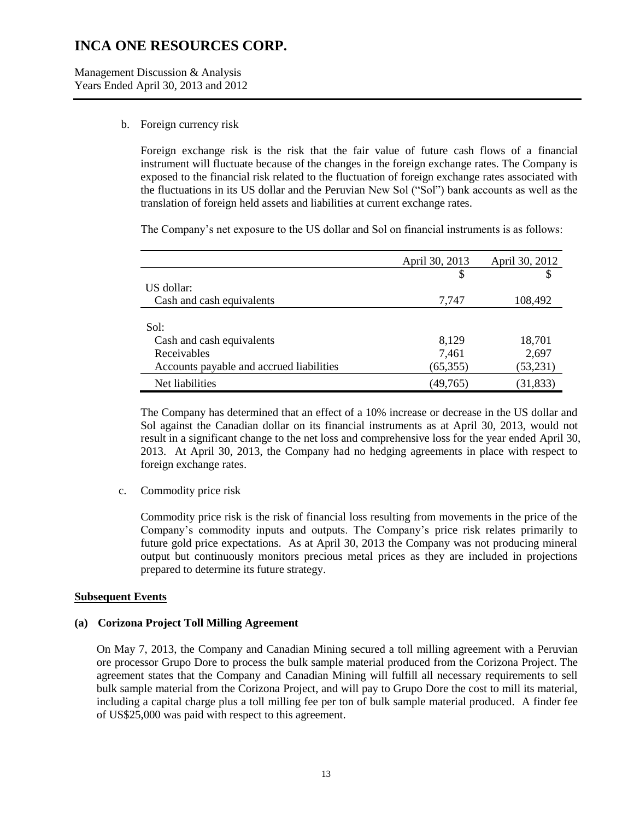#### b. Foreign currency risk

Foreign exchange risk is the risk that the fair value of future cash flows of a financial instrument will fluctuate because of the changes in the foreign exchange rates. The Company is exposed to the financial risk related to the fluctuation of foreign exchange rates associated with the fluctuations in its US dollar and the Peruvian New Sol ("Sol") bank accounts as well as the translation of foreign held assets and liabilities at current exchange rates.

The Company's net exposure to the US dollar and Sol on financial instruments is as follows:

|                                          | April 30, 2013 | April 30, 2012 |
|------------------------------------------|----------------|----------------|
|                                          | \$             | \$             |
| US dollar:                               |                |                |
| Cash and cash equivalents                | 7,747          | 108,492        |
|                                          |                |                |
| Sol:                                     |                |                |
| Cash and cash equivalents                | 8,129          | 18,701         |
| Receivables                              | 7,461          | 2,697          |
| Accounts payable and accrued liabilities | (65, 355)      | (53,231)       |
| Net liabilities                          | (49,765)       | (31, 833)      |

The Company has determined that an effect of a 10% increase or decrease in the US dollar and Sol against the Canadian dollar on its financial instruments as at April 30, 2013, would not result in a significant change to the net loss and comprehensive loss for the year ended April 30, 2013. At April 30, 2013, the Company had no hedging agreements in place with respect to foreign exchange rates.

c. Commodity price risk

Commodity price risk is the risk of financial loss resulting from movements in the price of the Company's commodity inputs and outputs. The Company's price risk relates primarily to future gold price expectations. As at April 30, 2013 the Company was not producing mineral output but continuously monitors precious metal prices as they are included in projections prepared to determine its future strategy.

#### **Subsequent Events**

#### **(a) Corizona Project Toll Milling Agreement**

On May 7, 2013, the Company and Canadian Mining secured a toll milling agreement with a Peruvian ore processor Grupo Dore to process the bulk sample material produced from the Corizona Project. The agreement states that the Company and Canadian Mining will fulfill all necessary requirements to sell bulk sample material from the Corizona Project, and will pay to Grupo Dore the cost to mill its material, including a capital charge plus a toll milling fee per ton of bulk sample material produced. A finder fee of US\$25,000 was paid with respect to this agreement.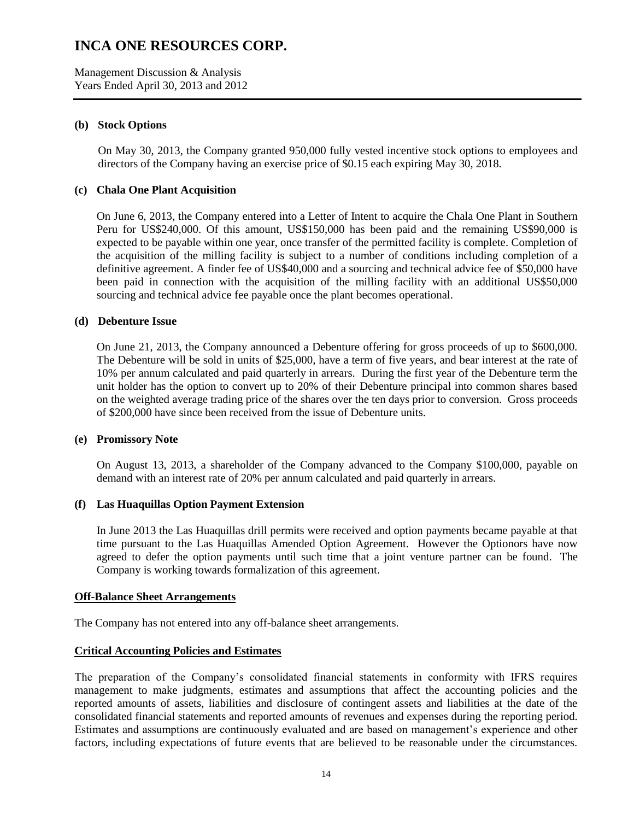Management Discussion & Analysis Years Ended April 30, 2013 and 2012

### **(b) Stock Options**

On May 30, 2013, the Company granted 950,000 fully vested incentive stock options to employees and directors of the Company having an exercise price of \$0.15 each expiring May 30, 2018.

### **(c) Chala One Plant Acquisition**

On June 6, 2013, the Company entered into a Letter of Intent to acquire the Chala One Plant in Southern Peru for US\$240,000. Of this amount, US\$150,000 has been paid and the remaining US\$90,000 is expected to be payable within one year, once transfer of the permitted facility is complete. Completion of the acquisition of the milling facility is subject to a number of conditions including completion of a definitive agreement. A finder fee of US\$40,000 and a sourcing and technical advice fee of \$50,000 have been paid in connection with the acquisition of the milling facility with an additional US\$50,000 sourcing and technical advice fee payable once the plant becomes operational.

### **(d) Debenture Issue**

On June 21, 2013, the Company announced a Debenture offering for gross proceeds of up to \$600,000. The Debenture will be sold in units of \$25,000, have a term of five years, and bear interest at the rate of 10% per annum calculated and paid quarterly in arrears. During the first year of the Debenture term the unit holder has the option to convert up to 20% of their Debenture principal into common shares based on the weighted average trading price of the shares over the ten days prior to conversion. Gross proceeds of \$200,000 have since been received from the issue of Debenture units.

### **(e) Promissory Note**

On August 13, 2013, a shareholder of the Company advanced to the Company \$100,000, payable on demand with an interest rate of 20% per annum calculated and paid quarterly in arrears.

### **(f) Las Huaquillas Option Payment Extension**

In June 2013 the Las Huaquillas drill permits were received and option payments became payable at that time pursuant to the Las Huaquillas Amended Option Agreement. However the Optionors have now agreed to defer the option payments until such time that a joint venture partner can be found. The Company is working towards formalization of this agreement.

### **Off-Balance Sheet Arrangements**

The Company has not entered into any off-balance sheet arrangements.

### **Critical Accounting Policies and Estimates**

The preparation of the Company's consolidated financial statements in conformity with IFRS requires management to make judgments, estimates and assumptions that affect the accounting policies and the reported amounts of assets, liabilities and disclosure of contingent assets and liabilities at the date of the consolidated financial statements and reported amounts of revenues and expenses during the reporting period. Estimates and assumptions are continuously evaluated and are based on management's experience and other factors, including expectations of future events that are believed to be reasonable under the circumstances.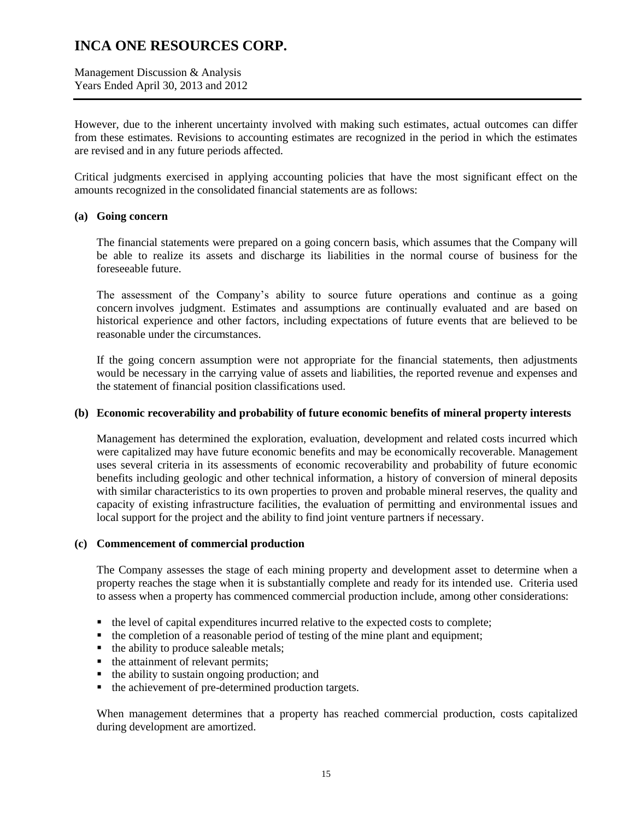Management Discussion & Analysis Years Ended April 30, 2013 and 2012

However, due to the inherent uncertainty involved with making such estimates, actual outcomes can differ from these estimates. Revisions to accounting estimates are recognized in the period in which the estimates are revised and in any future periods affected.

Critical judgments exercised in applying accounting policies that have the most significant effect on the amounts recognized in the consolidated financial statements are as follows:

#### **(a) Going concern**

The financial statements were prepared on a going concern basis, which assumes that the Company will be able to realize its assets and discharge its liabilities in the normal course of business for the foreseeable future.

The assessment of the Company's ability to source future operations and continue as a going concern involves judgment. Estimates and assumptions are continually evaluated and are based on historical experience and other factors, including expectations of future events that are believed to be reasonable under the circumstances.

If the going concern assumption were not appropriate for the financial statements, then adjustments would be necessary in the carrying value of assets and liabilities, the reported revenue and expenses and the statement of financial position classifications used.

#### **(b) Economic recoverability and probability of future economic benefits of mineral property interests**

Management has determined the exploration, evaluation, development and related costs incurred which were capitalized may have future economic benefits and may be economically recoverable. Management uses several criteria in its assessments of economic recoverability and probability of future economic benefits including geologic and other technical information, a history of conversion of mineral deposits with similar characteristics to its own properties to proven and probable mineral reserves, the quality and capacity of existing infrastructure facilities, the evaluation of permitting and environmental issues and local support for the project and the ability to find joint venture partners if necessary.

#### **(c) Commencement of commercial production**

The Company assesses the stage of each mining property and development asset to determine when a property reaches the stage when it is substantially complete and ready for its intended use. Criteria used to assess when a property has commenced commercial production include, among other considerations:

- the level of capital expenditures incurred relative to the expected costs to complete;
- $\blacksquare$  the completion of a reasonable period of testing of the mine plant and equipment;
- the ability to produce saleable metals;
- $\blacksquare$  the attainment of relevant permits;
- $\blacksquare$  the ability to sustain ongoing production; and
- the achievement of pre-determined production targets.

When management determines that a property has reached commercial production, costs capitalized during development are amortized.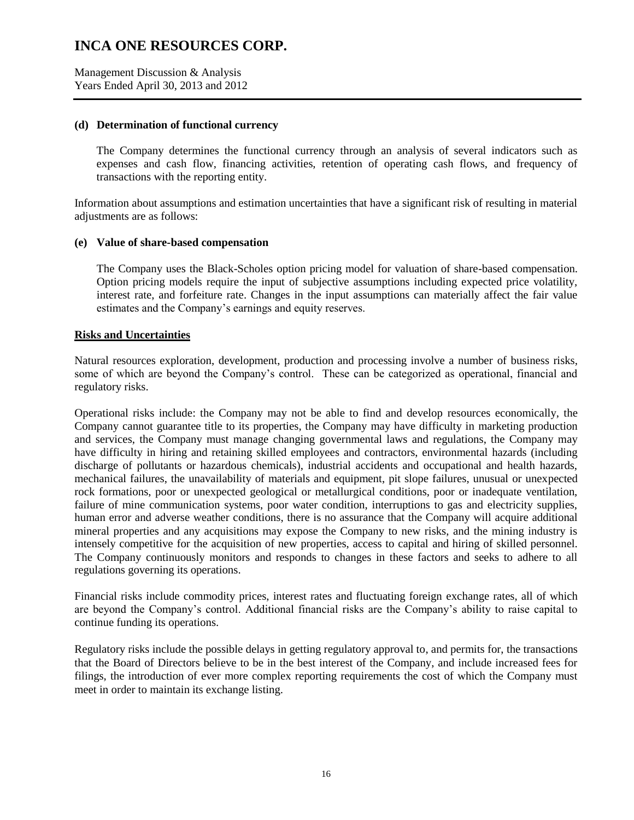Management Discussion & Analysis Years Ended April 30, 2013 and 2012

#### **(d) Determination of functional currency**

The Company determines the functional currency through an analysis of several indicators such as expenses and cash flow, financing activities, retention of operating cash flows, and frequency of transactions with the reporting entity.

Information about assumptions and estimation uncertainties that have a significant risk of resulting in material adjustments are as follows:

#### **(e) Value of share-based compensation**

The Company uses the Black-Scholes option pricing model for valuation of share-based compensation. Option pricing models require the input of subjective assumptions including expected price volatility, interest rate, and forfeiture rate. Changes in the input assumptions can materially affect the fair value estimates and the Company's earnings and equity reserves.

#### **Risks and Uncertainties**

Natural resources exploration, development, production and processing involve a number of business risks, some of which are beyond the Company's control. These can be categorized as operational, financial and regulatory risks.

Operational risks include: the Company may not be able to find and develop resources economically, the Company cannot guarantee title to its properties, the Company may have difficulty in marketing production and services, the Company must manage changing governmental laws and regulations, the Company may have difficulty in hiring and retaining skilled employees and contractors, environmental hazards (including discharge of pollutants or hazardous chemicals), industrial accidents and occupational and health hazards, mechanical failures, the unavailability of materials and equipment, pit slope failures, unusual or unexpected rock formations, poor or unexpected geological or metallurgical conditions, poor or inadequate ventilation, failure of mine communication systems, poor water condition, interruptions to gas and electricity supplies, human error and adverse weather conditions, there is no assurance that the Company will acquire additional mineral properties and any acquisitions may expose the Company to new risks, and the mining industry is intensely competitive for the acquisition of new properties, access to capital and hiring of skilled personnel. The Company continuously monitors and responds to changes in these factors and seeks to adhere to all regulations governing its operations.

Financial risks include commodity prices, interest rates and fluctuating foreign exchange rates, all of which are beyond the Company's control. Additional financial risks are the Company's ability to raise capital to continue funding its operations.

Regulatory risks include the possible delays in getting regulatory approval to, and permits for, the transactions that the Board of Directors believe to be in the best interest of the Company, and include increased fees for filings, the introduction of ever more complex reporting requirements the cost of which the Company must meet in order to maintain its exchange listing.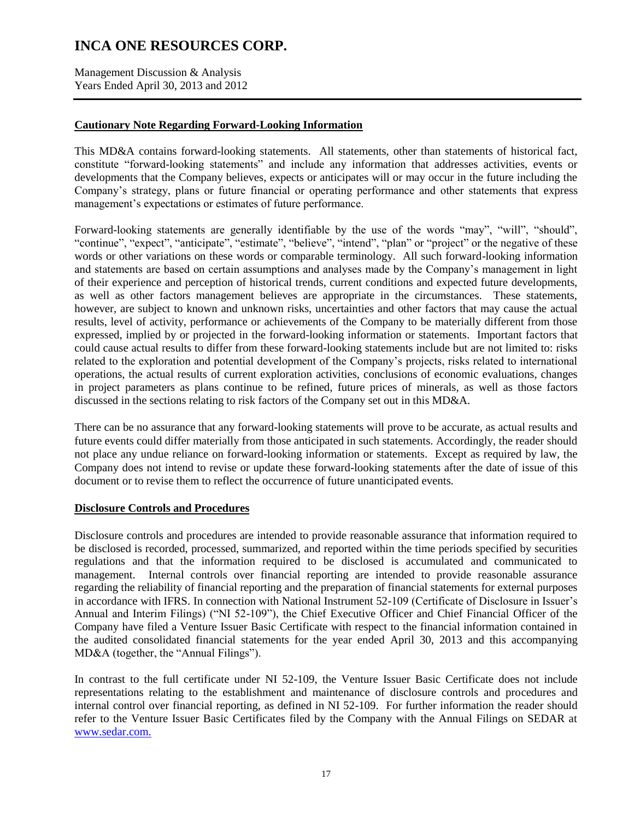Management Discussion & Analysis Years Ended April 30, 2013 and 2012

### **Cautionary Note Regarding Forward-Looking Information**

This MD&A contains forward-looking statements. All statements, other than statements of historical fact, constitute "forward-looking statements" and include any information that addresses activities, events or developments that the Company believes, expects or anticipates will or may occur in the future including the Company's strategy, plans or future financial or operating performance and other statements that express management's expectations or estimates of future performance.

Forward-looking statements are generally identifiable by the use of the words "may", "will", "should", "continue", "expect", "anticipate", "estimate", "believe", "intend", "plan" or "project" or the negative of these words or other variations on these words or comparable terminology. All such forward-looking information and statements are based on certain assumptions and analyses made by the Company's management in light of their experience and perception of historical trends, current conditions and expected future developments, as well as other factors management believes are appropriate in the circumstances. These statements, however, are subject to known and unknown risks, uncertainties and other factors that may cause the actual results, level of activity, performance or achievements of the Company to be materially different from those expressed, implied by or projected in the forward-looking information or statements. Important factors that could cause actual results to differ from these forward-looking statements include but are not limited to: risks related to the exploration and potential development of the Company's projects, risks related to international operations, the actual results of current exploration activities, conclusions of economic evaluations, changes in project parameters as plans continue to be refined, future prices of minerals, as well as those factors discussed in the sections relating to risk factors of the Company set out in this MD&A.

There can be no assurance that any forward-looking statements will prove to be accurate, as actual results and future events could differ materially from those anticipated in such statements. Accordingly, the reader should not place any undue reliance on forward-looking information or statements. Except as required by law, the Company does not intend to revise or update these forward-looking statements after the date of issue of this document or to revise them to reflect the occurrence of future unanticipated events.

### **Disclosure Controls and Procedures**

Disclosure controls and procedures are intended to provide reasonable assurance that information required to be disclosed is recorded, processed, summarized, and reported within the time periods specified by securities regulations and that the information required to be disclosed is accumulated and communicated to management. Internal controls over financial reporting are intended to provide reasonable assurance regarding the reliability of financial reporting and the preparation of financial statements for external purposes in accordance with IFRS. In connection with National Instrument 52-109 (Certificate of Disclosure in Issuer's Annual and Interim Filings) ("NI 52-109"), the Chief Executive Officer and Chief Financial Officer of the Company have filed a Venture Issuer Basic Certificate with respect to the financial information contained in the audited consolidated financial statements for the year ended April 30, 2013 and this accompanying MD&A (together, the "Annual Filings").

In contrast to the full certificate under NI 52-109, the Venture Issuer Basic Certificate does not include representations relating to the establishment and maintenance of disclosure controls and procedures and internal control over financial reporting, as defined in NI 52-109. For further information the reader should refer to the Venture Issuer Basic Certificates filed by the Company with the Annual Filings on SEDAR at www.sedar.com.